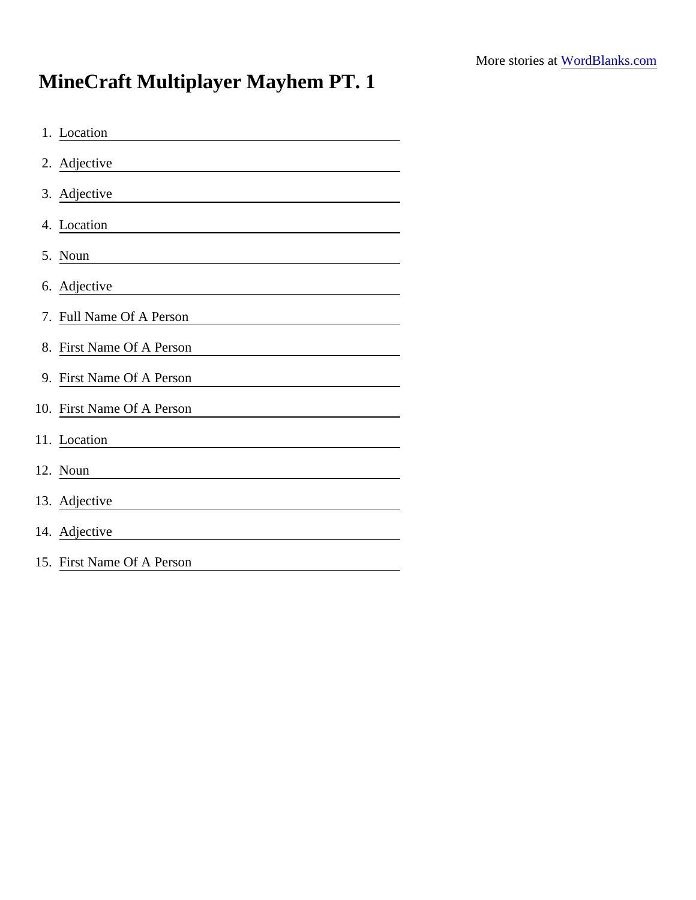## MineCraft Multiplayer Mayhem PT. 1

| 1. Location                                                                                               |
|-----------------------------------------------------------------------------------------------------------|
| 2. Adjective                                                                                              |
| 3. Adjective<br>the control of the control of the control of the control of the control of the control of |
| 4. Location                                                                                               |
| 5. Noun                                                                                                   |
| 6. Adjective<br><u> 1989 - Jan Alexandro Alexandro III (m. 1958)</u>                                      |
| 7. Full Name Of A Person                                                                                  |
| 8. First Name Of A Person                                                                                 |
| 9. First Name Of A Person                                                                                 |
| 10. First Name Of A Person                                                                                |
| 11. Location                                                                                              |
| 12. Noun                                                                                                  |
| 13. Adjective                                                                                             |
| 14. Adjective                                                                                             |
| 15. First Name Of A Person                                                                                |